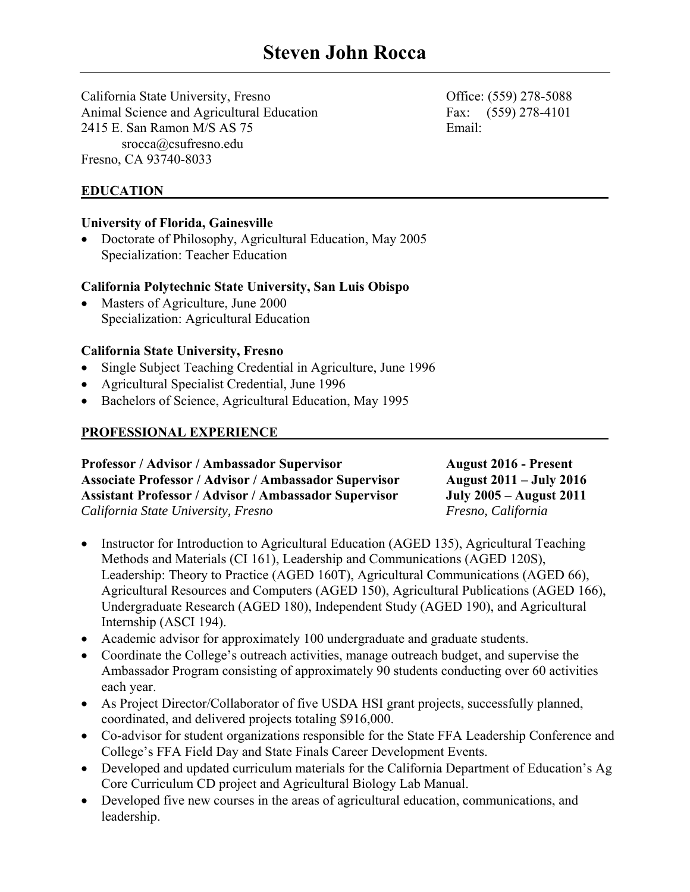California State University, Fresno Office: (559) 278-5088 Animal Science and Agricultural Education **Fax:** (559) 278-4101 2415 E. San Ramon M/S AS 75 Email: srocca@csufresno.edu Fresno, CA 93740-8033

**EDUCATION** 

## **University of Florida, Gainesville**

 Doctorate of Philosophy, Agricultural Education, May 2005 Specialization: Teacher Education

## **California Polytechnic State University, San Luis Obispo**

 Masters of Agriculture, June 2000 Specialization: Agricultural Education

## **California State University, Fresno**

- Single Subject Teaching Credential in Agriculture, June 1996
- Agricultural Specialist Credential, June 1996
- Bachelors of Science, Agricultural Education, May 1995

# **PROFESSIONAL EXPERIENCE**

Professor / Advisor / Ambassador Supervisor **August 2016 - Present Associate Professor / Advisor / Ambassador Supervisor August 2011 – July 2016 Assistant Professor / Advisor / Ambassador Supervisor July 2005 – August 2011**  *California State University, Fresno Fresno, California* 

- Instructor for Introduction to Agricultural Education (AGED 135), Agricultural Teaching Methods and Materials (CI 161), Leadership and Communications (AGED 120S), Leadership: Theory to Practice (AGED 160T), Agricultural Communications (AGED 66), Agricultural Resources and Computers (AGED 150), Agricultural Publications (AGED 166), Undergraduate Research (AGED 180), Independent Study (AGED 190), and Agricultural Internship (ASCI 194).
- Academic advisor for approximately 100 undergraduate and graduate students.
- Coordinate the College's outreach activities, manage outreach budget, and supervise the Ambassador Program consisting of approximately 90 students conducting over 60 activities each year.
- As Project Director/Collaborator of five USDA HSI grant projects, successfully planned, coordinated, and delivered projects totaling \$916,000.
- Co-advisor for student organizations responsible for the State FFA Leadership Conference and College's FFA Field Day and State Finals Career Development Events.
- Developed and updated curriculum materials for the California Department of Education's Ag Core Curriculum CD project and Agricultural Biology Lab Manual.
- Developed five new courses in the areas of agricultural education, communications, and leadership.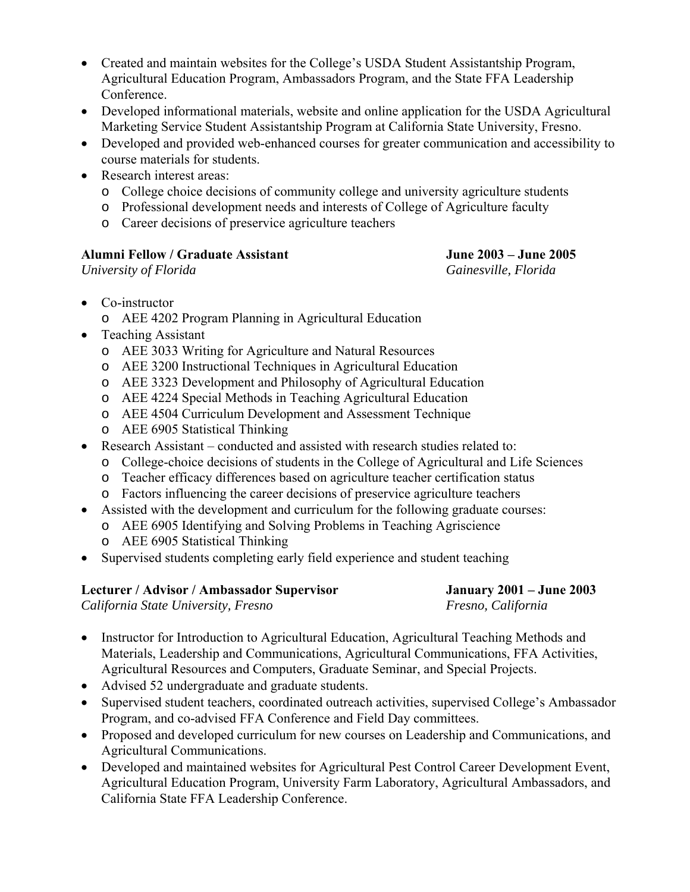- Created and maintain websites for the College's USDA Student Assistantship Program, Agricultural Education Program, Ambassadors Program, and the State FFA Leadership Conference.
- Developed informational materials, website and online application for the USDA Agricultural Marketing Service Student Assistantship Program at California State University, Fresno.
- Developed and provided web-enhanced courses for greater communication and accessibility to course materials for students.
- Research interest areas:
	- o College choice decisions of community college and university agriculture students
	- o Professional development needs and interests of College of Agriculture faculty
	- o Career decisions of preservice agriculture teachers

# **Alumni Fellow / Graduate Assistant June 2003 – June 2005**

*University of Florida Gainesville, Florida* 

- Co-instructor
	- o AEE 4202 Program Planning in Agricultural Education
- Teaching Assistant
	- o AEE 3033 Writing for Agriculture and Natural Resources
	- o AEE 3200 Instructional Techniques in Agricultural Education
	- o AEE 3323 Development and Philosophy of Agricultural Education
	- o AEE 4224 Special Methods in Teaching Agricultural Education
	- o AEE 4504 Curriculum Development and Assessment Technique
	- o AEE 6905 Statistical Thinking
- Research Assistant conducted and assisted with research studies related to:
	- o College-choice decisions of students in the College of Agricultural and Life Sciences
	- o Teacher efficacy differences based on agriculture teacher certification status
	- o Factors influencing the career decisions of preservice agriculture teachers
- Assisted with the development and curriculum for the following graduate courses:
	- o AEE 6905 Identifying and Solving Problems in Teaching Agriscience
	- o AEE 6905 Statistical Thinking
- Supervised students completing early field experience and student teaching

| Lecturer / Advisor / Ambassador Supervisor | <b>January 2001 – June 2003</b> |
|--------------------------------------------|---------------------------------|
| California State University, Fresno        | Fresno, California              |

- Instructor for Introduction to Agricultural Education, Agricultural Teaching Methods and Materials, Leadership and Communications, Agricultural Communications, FFA Activities, Agricultural Resources and Computers, Graduate Seminar, and Special Projects.
- Advised 52 undergraduate and graduate students.
- Supervised student teachers, coordinated outreach activities, supervised College's Ambassador Program, and co-advised FFA Conference and Field Day committees.
- Proposed and developed curriculum for new courses on Leadership and Communications, and Agricultural Communications.
- Developed and maintained websites for Agricultural Pest Control Career Development Event, Agricultural Education Program, University Farm Laboratory, Agricultural Ambassadors, and California State FFA Leadership Conference.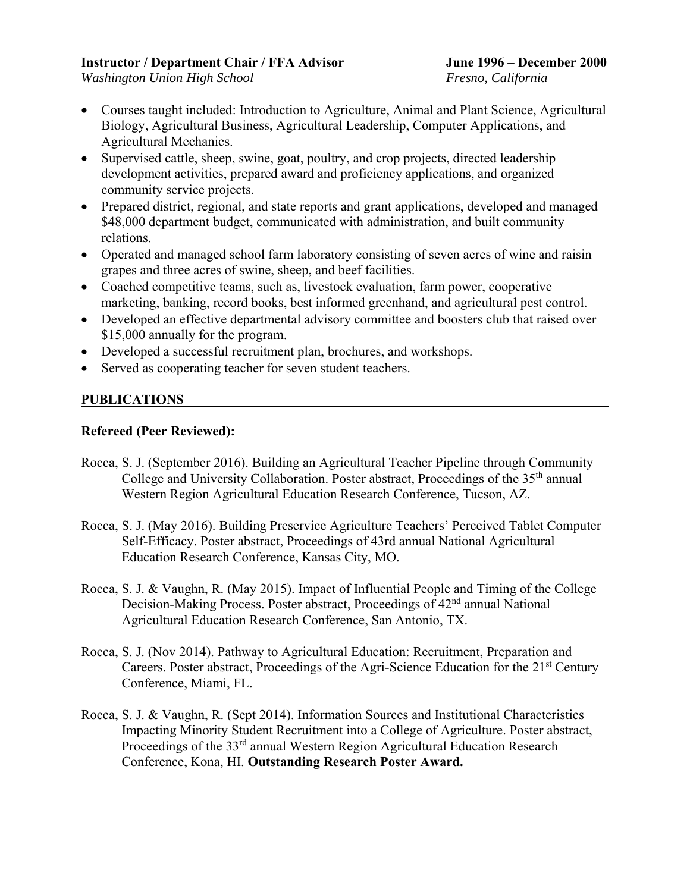## **Instructor / Department Chair / FFA Advisor June 1996 – December 2000**

*Washington Union High School Fresno, California* 

- Courses taught included: Introduction to Agriculture, Animal and Plant Science, Agricultural Biology, Agricultural Business, Agricultural Leadership, Computer Applications, and Agricultural Mechanics.
- Supervised cattle, sheep, swine, goat, poultry, and crop projects, directed leadership development activities, prepared award and proficiency applications, and organized community service projects.
- Prepared district, regional, and state reports and grant applications, developed and managed \$48,000 department budget, communicated with administration, and built community relations.
- Operated and managed school farm laboratory consisting of seven acres of wine and raisin grapes and three acres of swine, sheep, and beef facilities.
- Coached competitive teams, such as, livestock evaluation, farm power, cooperative marketing, banking, record books, best informed greenhand, and agricultural pest control.
- Developed an effective departmental advisory committee and boosters club that raised over \$15,000 annually for the program.
- Developed a successful recruitment plan, brochures, and workshops.
- Served as cooperating teacher for seven student teachers.

# **PUBLICATIONS**

# **Refereed (Peer Reviewed):**

- Rocca, S. J. (September 2016). Building an Agricultural Teacher Pipeline through Community College and University Collaboration. Poster abstract, Proceedings of the  $35<sup>th</sup>$  annual Western Region Agricultural Education Research Conference, Tucson, AZ.
- Rocca, S. J. (May 2016). Building Preservice Agriculture Teachers' Perceived Tablet Computer Self-Efficacy. Poster abstract, Proceedings of 43rd annual National Agricultural Education Research Conference, Kansas City, MO.
- Rocca, S. J. & Vaughn, R. (May 2015). Impact of Influential People and Timing of the College Decision-Making Process. Poster abstract, Proceedings of 42<sup>nd</sup> annual National Agricultural Education Research Conference, San Antonio, TX.
- Rocca, S. J. (Nov 2014). Pathway to Agricultural Education: Recruitment, Preparation and Careers. Poster abstract, Proceedings of the Agri-Science Education for the 21<sup>st</sup> Century Conference, Miami, FL.
- Rocca, S. J. & Vaughn, R. (Sept 2014). Information Sources and Institutional Characteristics Impacting Minority Student Recruitment into a College of Agriculture. Poster abstract, Proceedings of the 33<sup>rd</sup> annual Western Region Agricultural Education Research Conference, Kona, HI. **Outstanding Research Poster Award.**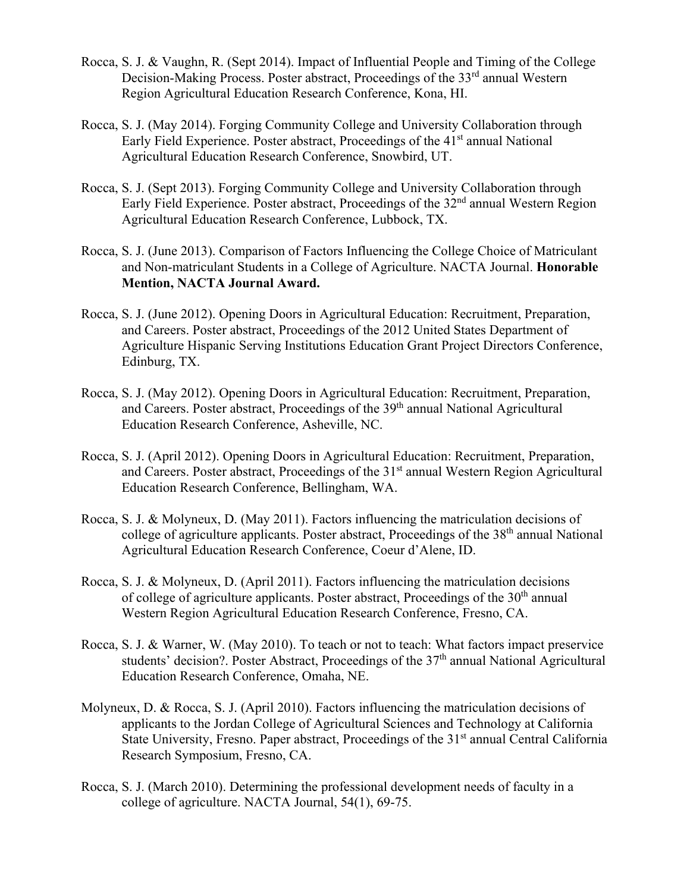- Rocca, S. J. & Vaughn, R. (Sept 2014). Impact of Influential People and Timing of the College Decision-Making Process. Poster abstract, Proceedings of the 33<sup>rd</sup> annual Western Region Agricultural Education Research Conference, Kona, HI.
- Rocca, S. J. (May 2014). Forging Community College and University Collaboration through Early Field Experience. Poster abstract, Proceedings of the 41<sup>st</sup> annual National Agricultural Education Research Conference, Snowbird, UT.
- Rocca, S. J. (Sept 2013). Forging Community College and University Collaboration through Early Field Experience. Poster abstract, Proceedings of the 32<sup>nd</sup> annual Western Region Agricultural Education Research Conference, Lubbock, TX.
- Rocca, S. J. (June 2013). Comparison of Factors Influencing the College Choice of Matriculant and Non-matriculant Students in a College of Agriculture. NACTA Journal. **Honorable Mention, NACTA Journal Award.**
- Rocca, S. J. (June 2012). Opening Doors in Agricultural Education: Recruitment, Preparation, and Careers. Poster abstract, Proceedings of the 2012 United States Department of Agriculture Hispanic Serving Institutions Education Grant Project Directors Conference, Edinburg, TX.
- Rocca, S. J. (May 2012). Opening Doors in Agricultural Education: Recruitment, Preparation, and Careers. Poster abstract, Proceedings of the 39<sup>th</sup> annual National Agricultural Education Research Conference, Asheville, NC.
- Rocca, S. J. (April 2012). Opening Doors in Agricultural Education: Recruitment, Preparation, and Careers. Poster abstract, Proceedings of the 31<sup>st</sup> annual Western Region Agricultural Education Research Conference, Bellingham, WA.
- Rocca, S. J. & Molyneux, D. (May 2011). Factors influencing the matriculation decisions of college of agriculture applicants. Poster abstract, Proceedings of the 38<sup>th</sup> annual National Agricultural Education Research Conference, Coeur d'Alene, ID.
- Rocca, S. J. & Molyneux, D. (April 2011). Factors influencing the matriculation decisions of college of agriculture applicants. Poster abstract, Proceedings of the  $30<sup>th</sup>$  annual Western Region Agricultural Education Research Conference, Fresno, CA.
- Rocca, S. J. & Warner, W. (May 2010). To teach or not to teach: What factors impact preservice students' decision?. Poster Abstract, Proceedings of the 37<sup>th</sup> annual National Agricultural Education Research Conference, Omaha, NE.
- Molyneux, D. & Rocca, S. J. (April 2010). Factors influencing the matriculation decisions of applicants to the Jordan College of Agricultural Sciences and Technology at California State University, Fresno. Paper abstract, Proceedings of the 31<sup>st</sup> annual Central California Research Symposium, Fresno, CA.
- Rocca, S. J. (March 2010). Determining the professional development needs of faculty in a college of agriculture. NACTA Journal, 54(1), 69-75.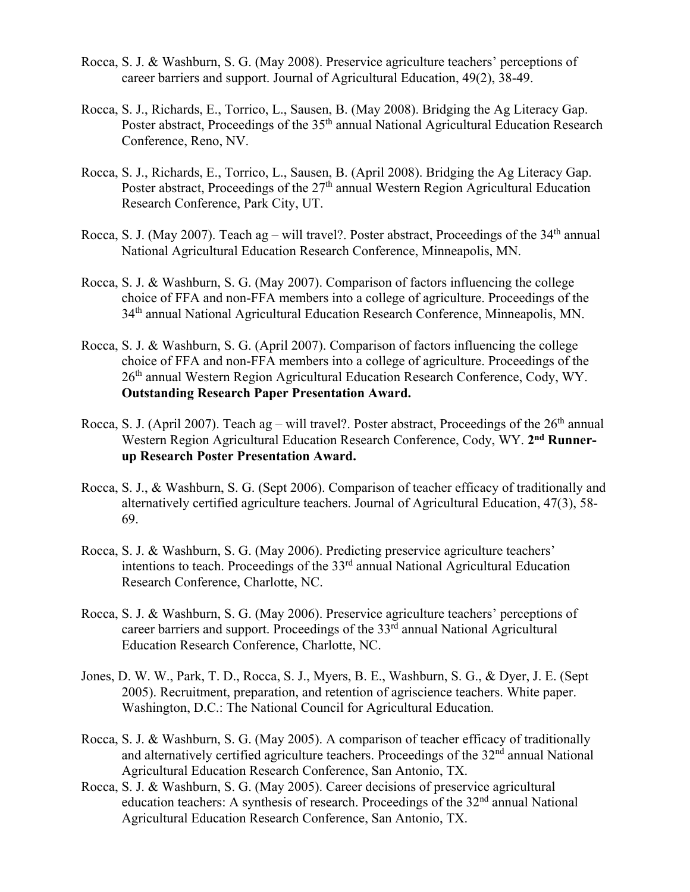- Rocca, S. J. & Washburn, S. G. (May 2008). Preservice agriculture teachers' perceptions of career barriers and support. Journal of Agricultural Education, 49(2), 38-49.
- Rocca, S. J., Richards, E., Torrico, L., Sausen, B. (May 2008). Bridging the Ag Literacy Gap. Poster abstract, Proceedings of the 35<sup>th</sup> annual National Agricultural Education Research Conference, Reno, NV.
- Rocca, S. J., Richards, E., Torrico, L., Sausen, B. (April 2008). Bridging the Ag Literacy Gap. Poster abstract, Proceedings of the  $27<sup>th</sup>$  annual Western Region Agricultural Education Research Conference, Park City, UT.
- Rocca, S. J. (May 2007). Teach ag will travel?. Poster abstract, Proceedings of the  $34<sup>th</sup>$  annual National Agricultural Education Research Conference, Minneapolis, MN.
- Rocca, S. J. & Washburn, S. G. (May 2007). Comparison of factors influencing the college choice of FFA and non-FFA members into a college of agriculture. Proceedings of the 34<sup>th</sup> annual National Agricultural Education Research Conference, Minneapolis, MN.
- Rocca, S. J. & Washburn, S. G. (April 2007). Comparison of factors influencing the college choice of FFA and non-FFA members into a college of agriculture. Proceedings of the 26<sup>th</sup> annual Western Region Agricultural Education Research Conference, Cody, WY. **Outstanding Research Paper Presentation Award.**
- Rocca, S. J. (April 2007). Teach ag will travel?. Poster abstract, Proceedings of the  $26<sup>th</sup>$  annual Western Region Agricultural Education Research Conference, Cody, WY. **2nd Runnerup Research Poster Presentation Award.**
- Rocca, S. J., & Washburn, S. G. (Sept 2006). Comparison of teacher efficacy of traditionally and alternatively certified agriculture teachers. Journal of Agricultural Education, 47(3), 58- 69.
- Rocca, S. J. & Washburn, S. G. (May 2006). Predicting preservice agriculture teachers' intentions to teach. Proceedings of the 33<sup>rd</sup> annual National Agricultural Education Research Conference, Charlotte, NC.
- Rocca, S. J. & Washburn, S. G. (May 2006). Preservice agriculture teachers' perceptions of career barriers and support. Proceedings of the  $33<sup>rd</sup>$  annual National Agricultural Education Research Conference, Charlotte, NC.
- Jones, D. W. W., Park, T. D., Rocca, S. J., Myers, B. E., Washburn, S. G., & Dyer, J. E. (Sept 2005). Recruitment, preparation, and retention of agriscience teachers. White paper. Washington, D.C.: The National Council for Agricultural Education.
- Rocca, S. J. & Washburn, S. G. (May 2005). A comparison of teacher efficacy of traditionally and alternatively certified agriculture teachers. Proceedings of the 32<sup>nd</sup> annual National Agricultural Education Research Conference, San Antonio, TX.
- Rocca, S. J. & Washburn, S. G. (May 2005). Career decisions of preservice agricultural education teachers: A synthesis of research. Proceedings of the  $32<sup>nd</sup>$  annual National Agricultural Education Research Conference, San Antonio, TX.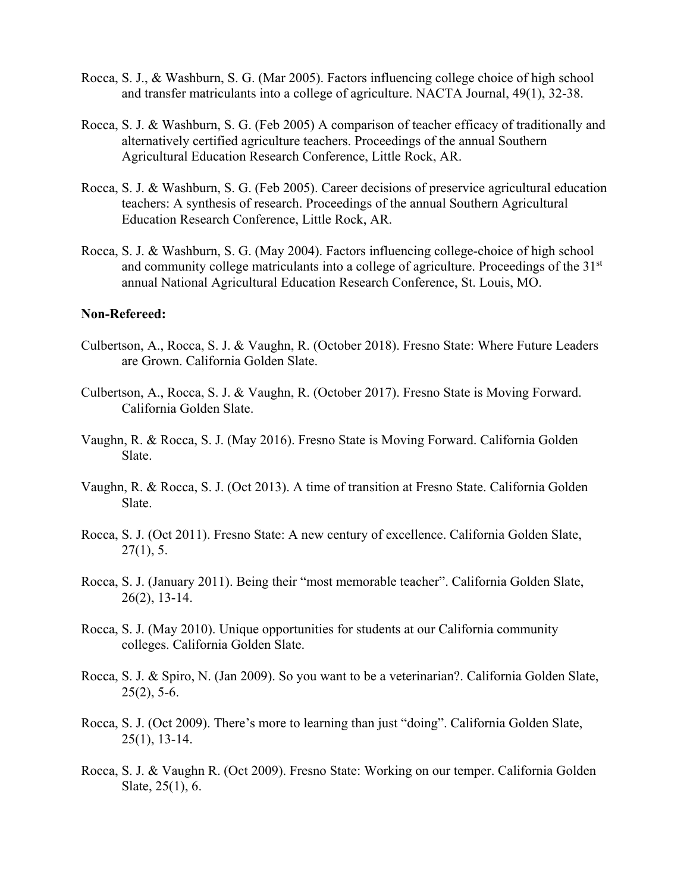- Rocca, S. J., & Washburn, S. G. (Mar 2005). Factors influencing college choice of high school and transfer matriculants into a college of agriculture. NACTA Journal, 49(1), 32-38.
- Rocca, S. J. & Washburn, S. G. (Feb 2005) A comparison of teacher efficacy of traditionally and alternatively certified agriculture teachers. Proceedings of the annual Southern Agricultural Education Research Conference, Little Rock, AR.
- Rocca, S. J. & Washburn, S. G. (Feb 2005). Career decisions of preservice agricultural education teachers: A synthesis of research. Proceedings of the annual Southern Agricultural Education Research Conference, Little Rock, AR.
- Rocca, S. J. & Washburn, S. G. (May 2004). Factors influencing college-choice of high school and community college matriculants into a college of agriculture. Proceedings of the 31<sup>st</sup> annual National Agricultural Education Research Conference, St. Louis, MO.

#### **Non-Refereed:**

- Culbertson, A., Rocca, S. J. & Vaughn, R. (October 2018). Fresno State: Where Future Leaders are Grown. California Golden Slate.
- Culbertson, A., Rocca, S. J. & Vaughn, R. (October 2017). Fresno State is Moving Forward. California Golden Slate.
- Vaughn, R. & Rocca, S. J. (May 2016). Fresno State is Moving Forward. California Golden Slate.
- Vaughn, R. & Rocca, S. J. (Oct 2013). A time of transition at Fresno State. California Golden Slate.
- Rocca, S. J. (Oct 2011). Fresno State: A new century of excellence. California Golden Slate,  $27(1)$ , 5.
- Rocca, S. J. (January 2011). Being their "most memorable teacher". California Golden Slate, 26(2), 13-14.
- Rocca, S. J. (May 2010). Unique opportunities for students at our California community colleges. California Golden Slate.
- Rocca, S. J. & Spiro, N. (Jan 2009). So you want to be a veterinarian?. California Golden Slate,  $25(2)$ , 5-6.
- Rocca, S. J. (Oct 2009). There's more to learning than just "doing". California Golden Slate, 25(1), 13-14.
- Rocca, S. J. & Vaughn R. (Oct 2009). Fresno State: Working on our temper. California Golden Slate, 25(1), 6.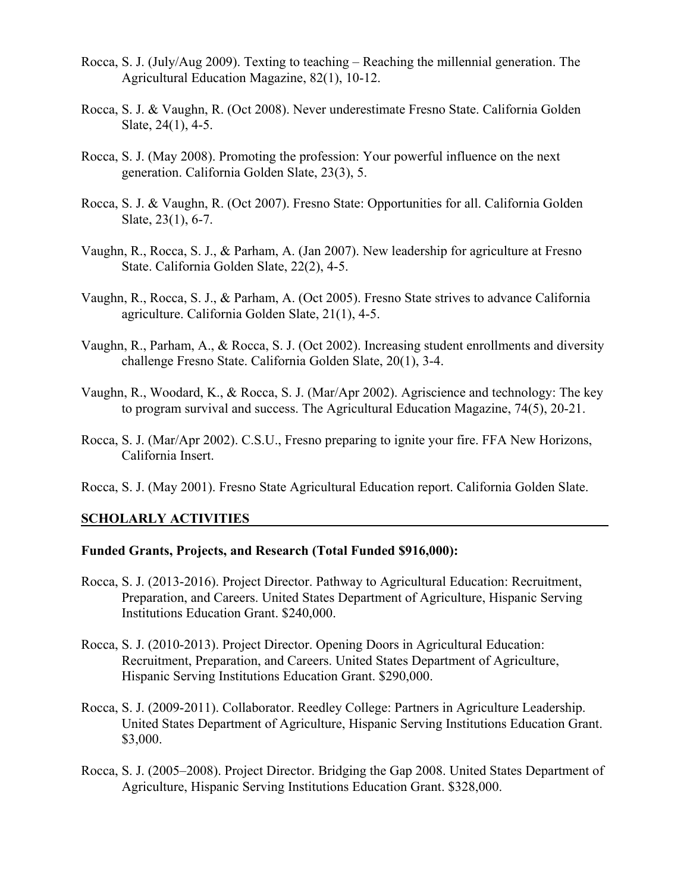- Rocca, S. J. (July/Aug 2009). Texting to teaching Reaching the millennial generation. The Agricultural Education Magazine, 82(1), 10-12.
- Rocca, S. J. & Vaughn, R. (Oct 2008). Never underestimate Fresno State. California Golden Slate, 24(1), 4-5.
- Rocca, S. J. (May 2008). Promoting the profession: Your powerful influence on the next generation. California Golden Slate, 23(3), 5.
- Rocca, S. J. & Vaughn, R. (Oct 2007). Fresno State: Opportunities for all. California Golden Slate, 23(1), 6-7.
- Vaughn, R., Rocca, S. J., & Parham, A. (Jan 2007). New leadership for agriculture at Fresno State. California Golden Slate, 22(2), 4-5.
- Vaughn, R., Rocca, S. J., & Parham, A. (Oct 2005). Fresno State strives to advance California agriculture. California Golden Slate, 21(1), 4-5.
- Vaughn, R., Parham, A., & Rocca, S. J. (Oct 2002). Increasing student enrollments and diversity challenge Fresno State. California Golden Slate, 20(1), 3-4.
- Vaughn, R., Woodard, K., & Rocca, S. J. (Mar/Apr 2002). Agriscience and technology: The key to program survival and success. The Agricultural Education Magazine, 74(5), 20-21.
- Rocca, S. J. (Mar/Apr 2002). C.S.U., Fresno preparing to ignite your fire. FFA New Horizons, California Insert.
- Rocca, S. J. (May 2001). Fresno State Agricultural Education report. California Golden Slate.

#### **SCHOLARLY ACTIVITIES**

#### **Funded Grants, Projects, and Research (Total Funded \$916,000):**

- Rocca, S. J. (2013-2016). Project Director. Pathway to Agricultural Education: Recruitment, Preparation, and Careers. United States Department of Agriculture, Hispanic Serving Institutions Education Grant. \$240,000.
- Rocca, S. J. (2010-2013). Project Director. Opening Doors in Agricultural Education: Recruitment, Preparation, and Careers. United States Department of Agriculture, Hispanic Serving Institutions Education Grant. \$290,000.
- Rocca, S. J. (2009-2011). Collaborator. Reedley College: Partners in Agriculture Leadership. United States Department of Agriculture, Hispanic Serving Institutions Education Grant. \$3,000.
- Rocca, S. J. (2005–2008). Project Director. Bridging the Gap 2008. United States Department of Agriculture, Hispanic Serving Institutions Education Grant. \$328,000.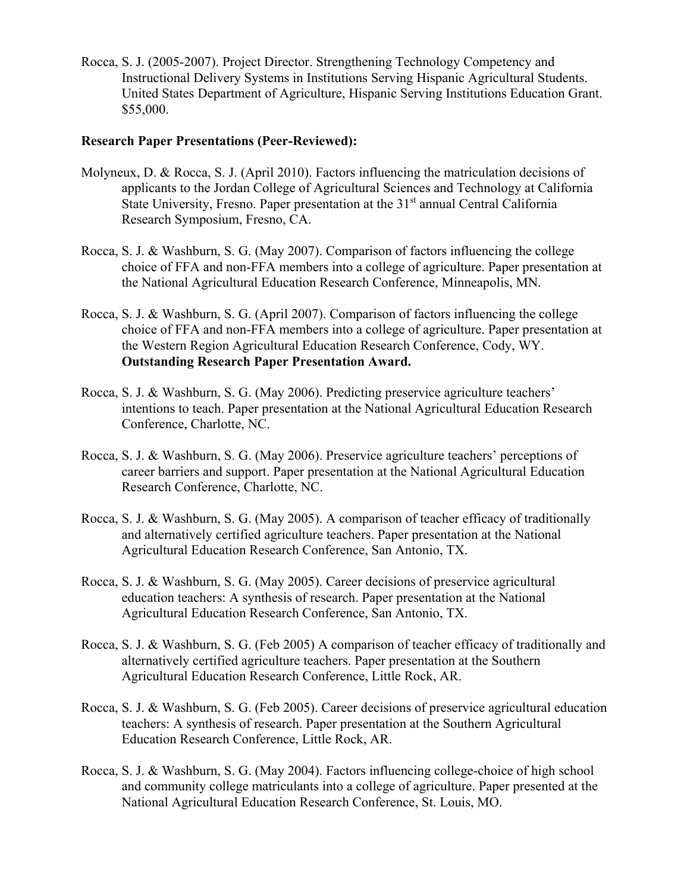Rocca, S. J. (2005-2007). Project Director. Strengthening Technology Competency and Instructional Delivery Systems in Institutions Serving Hispanic Agricultural Students. United States Department of Agriculture, Hispanic Serving Institutions Education Grant. \$55,000.

#### **Research Paper Presentations (Peer-Reviewed):**

- Molyneux, D. & Rocca, S. J. (April 2010). Factors influencing the matriculation decisions of applicants to the Jordan College of Agricultural Sciences and Technology at California State University, Fresno. Paper presentation at the 31<sup>st</sup> annual Central California Research Symposium, Fresno, CA.
- Rocca, S. J. & Washburn, S. G. (May 2007). Comparison of factors influencing the college choice of FFA and non-FFA members into a college of agriculture. Paper presentation at the National Agricultural Education Research Conference, Minneapolis, MN.
- Rocca, S. J. & Washburn, S. G. (April 2007). Comparison of factors influencing the college choice of FFA and non-FFA members into a college of agriculture. Paper presentation at the Western Region Agricultural Education Research Conference, Cody, WY. **Outstanding Research Paper Presentation Award.**
- Rocca, S. J. & Washburn, S. G. (May 2006). Predicting preservice agriculture teachers' intentions to teach. Paper presentation at the National Agricultural Education Research Conference, Charlotte, NC.
- Rocca, S. J. & Washburn, S. G. (May 2006). Preservice agriculture teachers' perceptions of career barriers and support. Paper presentation at the National Agricultural Education Research Conference, Charlotte, NC.
- Rocca, S. J. & Washburn, S. G. (May 2005). A comparison of teacher efficacy of traditionally and alternatively certified agriculture teachers. Paper presentation at the National Agricultural Education Research Conference, San Antonio, TX.
- Rocca, S. J. & Washburn, S. G. (May 2005). Career decisions of preservice agricultural education teachers: A synthesis of research. Paper presentation at the National Agricultural Education Research Conference, San Antonio, TX.
- Rocca, S. J. & Washburn, S. G. (Feb 2005) A comparison of teacher efficacy of traditionally and alternatively certified agriculture teachers. Paper presentation at the Southern Agricultural Education Research Conference, Little Rock, AR.
- Rocca, S. J. & Washburn, S. G. (Feb 2005). Career decisions of preservice agricultural education teachers: A synthesis of research. Paper presentation at the Southern Agricultural Education Research Conference, Little Rock, AR.
- Rocca, S. J. & Washburn, S. G. (May 2004). Factors influencing college-choice of high school and community college matriculants into a college of agriculture. Paper presented at the National Agricultural Education Research Conference, St. Louis, MO.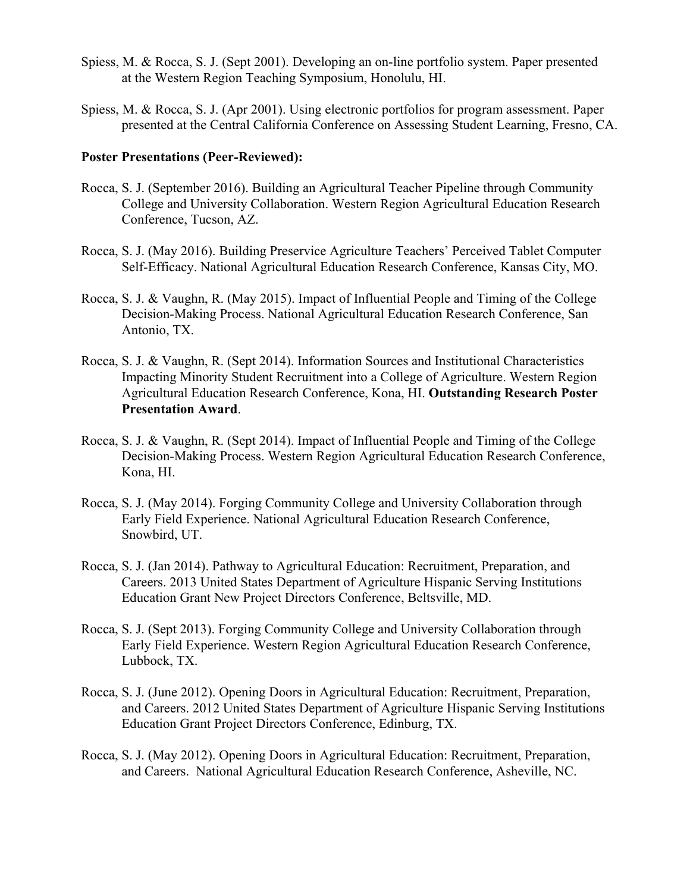- Spiess, M. & Rocca, S. J. (Sept 2001). Developing an on-line portfolio system. Paper presented at the Western Region Teaching Symposium, Honolulu, HI.
- Spiess, M. & Rocca, S. J. (Apr 2001). Using electronic portfolios for program assessment. Paper presented at the Central California Conference on Assessing Student Learning, Fresno, CA.

#### **Poster Presentations (Peer-Reviewed):**

- Rocca, S. J. (September 2016). Building an Agricultural Teacher Pipeline through Community College and University Collaboration. Western Region Agricultural Education Research Conference, Tucson, AZ.
- Rocca, S. J. (May 2016). Building Preservice Agriculture Teachers' Perceived Tablet Computer Self-Efficacy. National Agricultural Education Research Conference, Kansas City, MO.
- Rocca, S. J. & Vaughn, R. (May 2015). Impact of Influential People and Timing of the College Decision-Making Process. National Agricultural Education Research Conference, San Antonio, TX.
- Rocca, S. J. & Vaughn, R. (Sept 2014). Information Sources and Institutional Characteristics Impacting Minority Student Recruitment into a College of Agriculture. Western Region Agricultural Education Research Conference, Kona, HI. **Outstanding Research Poster Presentation Award**.
- Rocca, S. J. & Vaughn, R. (Sept 2014). Impact of Influential People and Timing of the College Decision-Making Process. Western Region Agricultural Education Research Conference, Kona, HI.
- Rocca, S. J. (May 2014). Forging Community College and University Collaboration through Early Field Experience. National Agricultural Education Research Conference, Snowbird, UT.
- Rocca, S. J. (Jan 2014). Pathway to Agricultural Education: Recruitment, Preparation, and Careers. 2013 United States Department of Agriculture Hispanic Serving Institutions Education Grant New Project Directors Conference, Beltsville, MD.
- Rocca, S. J. (Sept 2013). Forging Community College and University Collaboration through Early Field Experience. Western Region Agricultural Education Research Conference, Lubbock, TX.
- Rocca, S. J. (June 2012). Opening Doors in Agricultural Education: Recruitment, Preparation, and Careers. 2012 United States Department of Agriculture Hispanic Serving Institutions Education Grant Project Directors Conference, Edinburg, TX.
- Rocca, S. J. (May 2012). Opening Doors in Agricultural Education: Recruitment, Preparation, and Careers. National Agricultural Education Research Conference, Asheville, NC.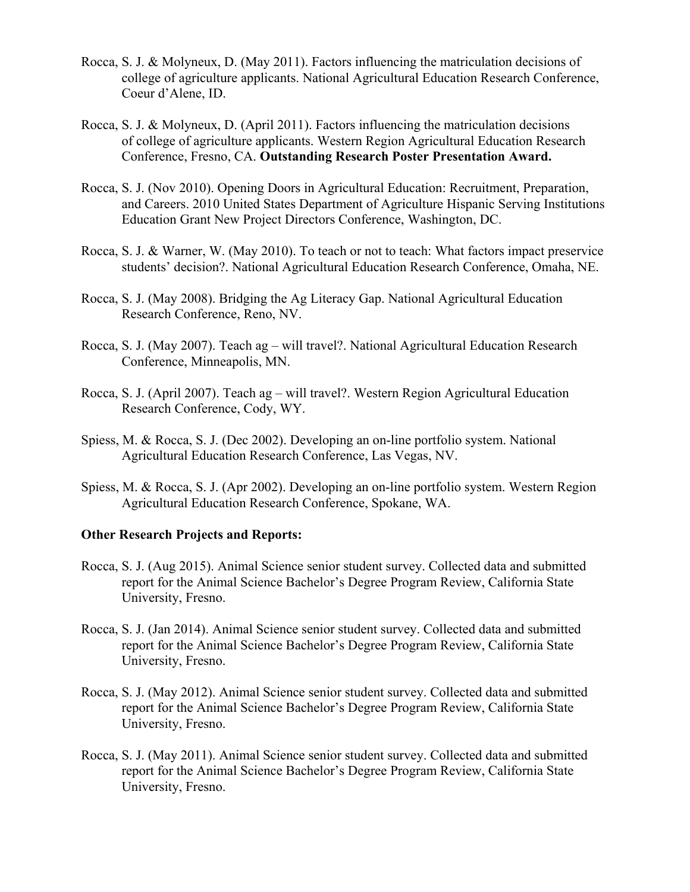- Rocca, S. J. & Molyneux, D. (May 2011). Factors influencing the matriculation decisions of college of agriculture applicants. National Agricultural Education Research Conference, Coeur d'Alene, ID.
- Rocca, S. J. & Molyneux, D. (April 2011). Factors influencing the matriculation decisions of college of agriculture applicants. Western Region Agricultural Education Research Conference, Fresno, CA. **Outstanding Research Poster Presentation Award.**
- Rocca, S. J. (Nov 2010). Opening Doors in Agricultural Education: Recruitment, Preparation, and Careers. 2010 United States Department of Agriculture Hispanic Serving Institutions Education Grant New Project Directors Conference, Washington, DC.
- Rocca, S. J. & Warner, W. (May 2010). To teach or not to teach: What factors impact preservice students' decision?. National Agricultural Education Research Conference, Omaha, NE.
- Rocca, S. J. (May 2008). Bridging the Ag Literacy Gap. National Agricultural Education Research Conference, Reno, NV.
- Rocca, S. J. (May 2007). Teach ag will travel?. National Agricultural Education Research Conference, Minneapolis, MN.
- Rocca, S. J. (April 2007). Teach ag will travel?. Western Region Agricultural Education Research Conference, Cody, WY.
- Spiess, M. & Rocca, S. J. (Dec 2002). Developing an on-line portfolio system. National Agricultural Education Research Conference, Las Vegas, NV.
- Spiess, M. & Rocca, S. J. (Apr 2002). Developing an on-line portfolio system. Western Region Agricultural Education Research Conference, Spokane, WA.

#### **Other Research Projects and Reports:**

- Rocca, S. J. (Aug 2015). Animal Science senior student survey. Collected data and submitted report for the Animal Science Bachelor's Degree Program Review, California State University, Fresno.
- Rocca, S. J. (Jan 2014). Animal Science senior student survey. Collected data and submitted report for the Animal Science Bachelor's Degree Program Review, California State University, Fresno.
- Rocca, S. J. (May 2012). Animal Science senior student survey. Collected data and submitted report for the Animal Science Bachelor's Degree Program Review, California State University, Fresno.
- Rocca, S. J. (May 2011). Animal Science senior student survey. Collected data and submitted report for the Animal Science Bachelor's Degree Program Review, California State University, Fresno.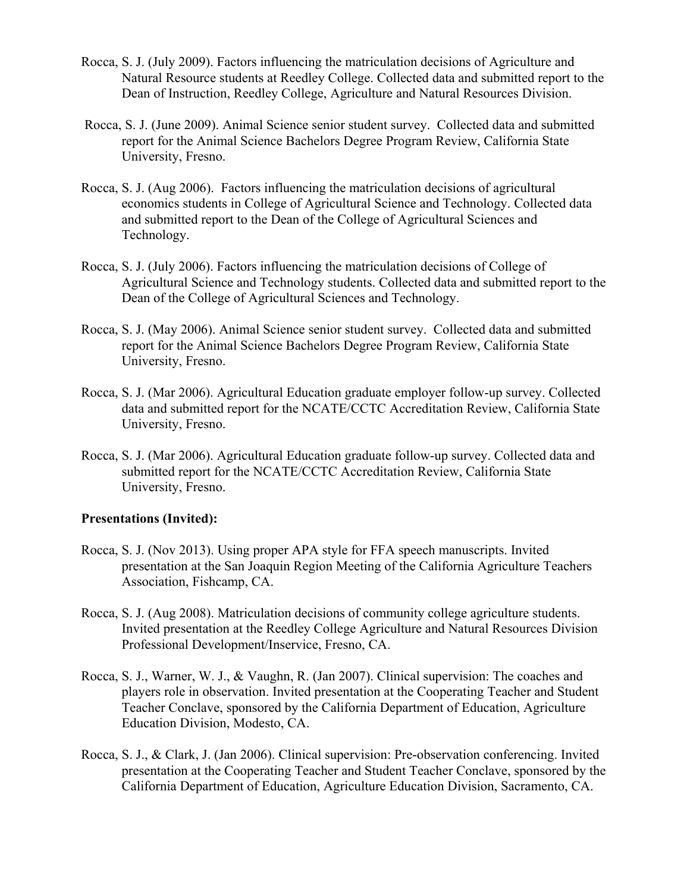- Rocca, S. J. (July 2009). Factors influencing the matriculation decisions of Agriculture and Natural Resource students at Reedley College. Collected data and submitted report to the Dean of Instruction, Reedley College, Agriculture and Natural Resources Division.
- Rocca, S. J. (June 2009). Animal Science senior student survey. Collected data and submitted report for the Animal Science Bachelors Degree Program Review, California State University, Fresno.
- Rocca, S. J. (Aug 2006). Factors influencing the matriculation decisions of agricultural economics students in College of Agricultural Science and Technology. Collected data and submitted report to the Dean of the College of Agricultural Sciences and Technology.
- Rocca, S. J. (July 2006). Factors influencing the matriculation decisions of College of Agricultural Science and Technology students. Collected data and submitted report to the Dean of the College of Agricultural Sciences and Technology.
- Rocca, S. J. (May 2006). Animal Science senior student survey. Collected data and submitted report for the Animal Science Bachelors Degree Program Review, California State University, Fresno.
- Rocca, S. J. (Mar 2006). Agricultural Education graduate employer follow-up survey. Collected data and submitted report for the NCATE/CCTC Accreditation Review, California State University, Fresno.
- Rocca, S. J. (Mar 2006). Agricultural Education graduate follow-up survey. Collected data and submitted report for the NCATE/CCTC Accreditation Review, California State University, Fresno.

# **Presentations (Invited):**

- Rocca, S. J. (Nov 2013). Using proper APA style for FFA speech manuscripts. Invited presentation at the San Joaquin Region Meeting of the California Agriculture Teachers Association, Fishcamp, CA.
- Rocca, S. J. (Aug 2008). Matriculation decisions of community college agriculture students. Invited presentation at the Reedley College Agriculture and Natural Resources Division Professional Development/Inservice, Fresno, CA.
- Rocca, S. J., Warner, W. J., & Vaughn, R. (Jan 2007). Clinical supervision: The coaches and players role in observation. Invited presentation at the Cooperating Teacher and Student Teacher Conclave, sponsored by the California Department of Education, Agriculture Education Division, Modesto, CA.
- Rocca, S. J., & Clark, J. (Jan 2006). Clinical supervision: Pre-observation conferencing. Invited presentation at the Cooperating Teacher and Student Teacher Conclave, sponsored by the California Department of Education, Agriculture Education Division, Sacramento, CA.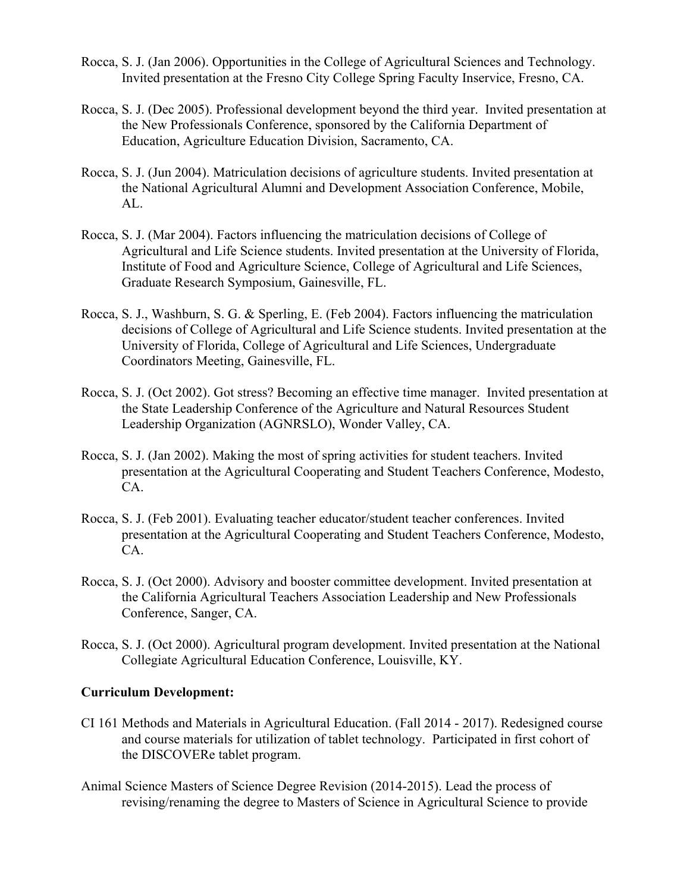- Rocca, S. J. (Jan 2006). Opportunities in the College of Agricultural Sciences and Technology. Invited presentation at the Fresno City College Spring Faculty Inservice, Fresno, CA.
- Rocca, S. J. (Dec 2005). Professional development beyond the third year. Invited presentation at the New Professionals Conference, sponsored by the California Department of Education, Agriculture Education Division, Sacramento, CA.
- Rocca, S. J. (Jun 2004). Matriculation decisions of agriculture students. Invited presentation at the National Agricultural Alumni and Development Association Conference, Mobile, AL.
- Rocca, S. J. (Mar 2004). Factors influencing the matriculation decisions of College of Agricultural and Life Science students. Invited presentation at the University of Florida, Institute of Food and Agriculture Science, College of Agricultural and Life Sciences, Graduate Research Symposium, Gainesville, FL.
- Rocca, S. J., Washburn, S. G. & Sperling, E. (Feb 2004). Factors influencing the matriculation decisions of College of Agricultural and Life Science students. Invited presentation at the University of Florida, College of Agricultural and Life Sciences, Undergraduate Coordinators Meeting, Gainesville, FL.
- Rocca, S. J. (Oct 2002). Got stress? Becoming an effective time manager. Invited presentation at the State Leadership Conference of the Agriculture and Natural Resources Student Leadership Organization (AGNRSLO), Wonder Valley, CA.
- Rocca, S. J. (Jan 2002). Making the most of spring activities for student teachers. Invited presentation at the Agricultural Cooperating and Student Teachers Conference, Modesto, CA.
- Rocca, S. J. (Feb 2001). Evaluating teacher educator/student teacher conferences. Invited presentation at the Agricultural Cooperating and Student Teachers Conference, Modesto, CA.
- Rocca, S. J. (Oct 2000). Advisory and booster committee development. Invited presentation at the California Agricultural Teachers Association Leadership and New Professionals Conference, Sanger, CA.
- Rocca, S. J. (Oct 2000). Agricultural program development. Invited presentation at the National Collegiate Agricultural Education Conference, Louisville, KY.

# **Curriculum Development:**

- CI 161 Methods and Materials in Agricultural Education. (Fall 2014 2017). Redesigned course and course materials for utilization of tablet technology. Participated in first cohort of the DISCOVERe tablet program.
- Animal Science Masters of Science Degree Revision (2014-2015). Lead the process of revising/renaming the degree to Masters of Science in Agricultural Science to provide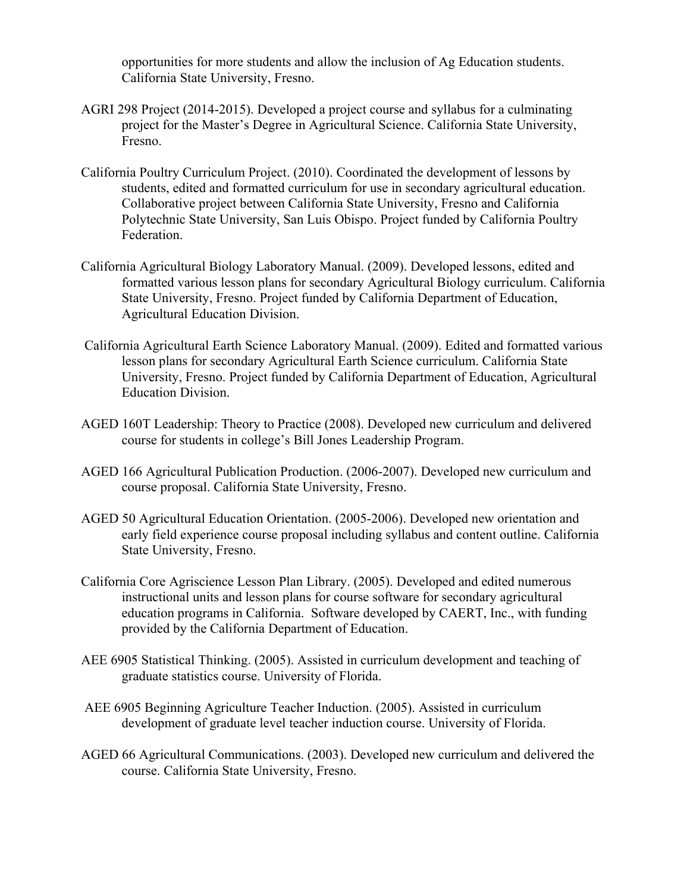opportunities for more students and allow the inclusion of Ag Education students. California State University, Fresno.

- AGRI 298 Project (2014-2015). Developed a project course and syllabus for a culminating project for the Master's Degree in Agricultural Science. California State University, Fresno.
- California Poultry Curriculum Project. (2010). Coordinated the development of lessons by students, edited and formatted curriculum for use in secondary agricultural education. Collaborative project between California State University, Fresno and California Polytechnic State University, San Luis Obispo. Project funded by California Poultry Federation.
- California Agricultural Biology Laboratory Manual. (2009). Developed lessons, edited and formatted various lesson plans for secondary Agricultural Biology curriculum. California State University, Fresno. Project funded by California Department of Education, Agricultural Education Division.
- California Agricultural Earth Science Laboratory Manual. (2009). Edited and formatted various lesson plans for secondary Agricultural Earth Science curriculum. California State University, Fresno. Project funded by California Department of Education, Agricultural Education Division.
- AGED 160T Leadership: Theory to Practice (2008). Developed new curriculum and delivered course for students in college's Bill Jones Leadership Program.
- AGED 166 Agricultural Publication Production. (2006-2007). Developed new curriculum and course proposal. California State University, Fresno.
- AGED 50 Agricultural Education Orientation. (2005-2006). Developed new orientation and early field experience course proposal including syllabus and content outline. California State University, Fresno.
- California Core Agriscience Lesson Plan Library. (2005). Developed and edited numerous instructional units and lesson plans for course software for secondary agricultural education programs in California. Software developed by CAERT, Inc., with funding provided by the California Department of Education.
- AEE 6905 Statistical Thinking. (2005). Assisted in curriculum development and teaching of graduate statistics course. University of Florida.
- AEE 6905 Beginning Agriculture Teacher Induction. (2005). Assisted in curriculum development of graduate level teacher induction course. University of Florida.
- AGED 66 Agricultural Communications. (2003). Developed new curriculum and delivered the course. California State University, Fresno.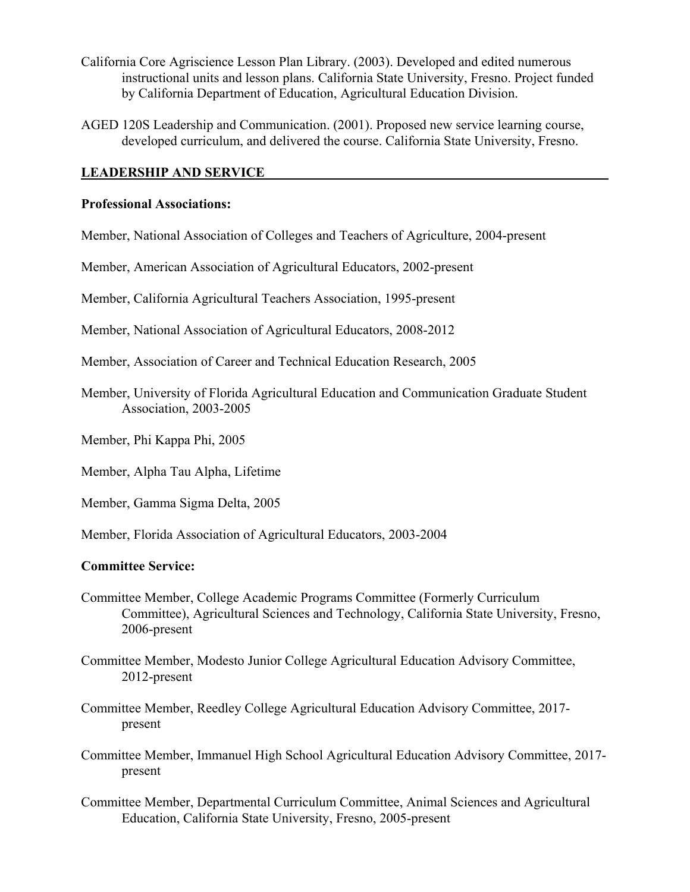- California Core Agriscience Lesson Plan Library. (2003). Developed and edited numerous instructional units and lesson plans. California State University, Fresno. Project funded by California Department of Education, Agricultural Education Division.
- AGED 120S Leadership and Communication. (2001). Proposed new service learning course, developed curriculum, and delivered the course. California State University, Fresno.

## **LEADERSHIP AND SERVICE**

#### **Professional Associations:**

Member, National Association of Colleges and Teachers of Agriculture, 2004-present

Member, American Association of Agricultural Educators, 2002-present

Member, California Agricultural Teachers Association, 1995-present

Member, National Association of Agricultural Educators, 2008-2012

- Member, Association of Career and Technical Education Research, 2005
- Member, University of Florida Agricultural Education and Communication Graduate Student Association, 2003-2005
- Member, Phi Kappa Phi, 2005

Member, Alpha Tau Alpha, Lifetime

Member, Gamma Sigma Delta, 2005

Member, Florida Association of Agricultural Educators, 2003-2004

#### **Committee Service:**

- Committee Member, College Academic Programs Committee (Formerly Curriculum Committee), Agricultural Sciences and Technology, California State University, Fresno, 2006-present
- Committee Member, Modesto Junior College Agricultural Education Advisory Committee, 2012-present
- Committee Member, Reedley College Agricultural Education Advisory Committee, 2017 present
- Committee Member, Immanuel High School Agricultural Education Advisory Committee, 2017 present
- Committee Member, Departmental Curriculum Committee, Animal Sciences and Agricultural Education, California State University, Fresno, 2005-present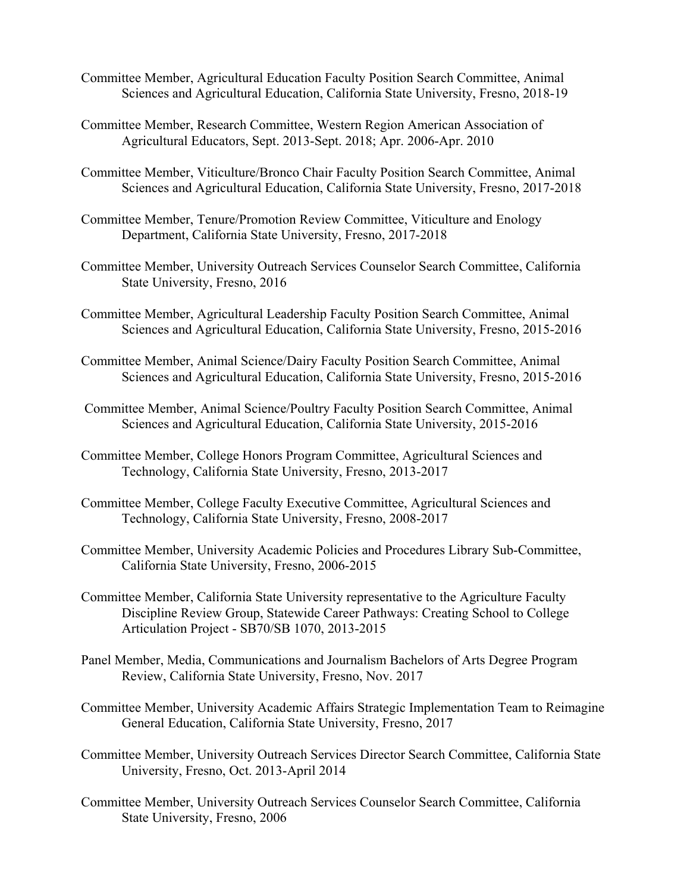- Committee Member, Agricultural Education Faculty Position Search Committee, Animal Sciences and Agricultural Education, California State University, Fresno, 2018-19
- Committee Member, Research Committee, Western Region American Association of Agricultural Educators, Sept. 2013-Sept. 2018; Apr. 2006-Apr. 2010
- Committee Member, Viticulture/Bronco Chair Faculty Position Search Committee, Animal Sciences and Agricultural Education, California State University, Fresno, 2017-2018
- Committee Member, Tenure/Promotion Review Committee, Viticulture and Enology Department, California State University, Fresno, 2017-2018
- Committee Member, University Outreach Services Counselor Search Committee, California State University, Fresno, 2016
- Committee Member, Agricultural Leadership Faculty Position Search Committee, Animal Sciences and Agricultural Education, California State University, Fresno, 2015-2016
- Committee Member, Animal Science/Dairy Faculty Position Search Committee, Animal Sciences and Agricultural Education, California State University, Fresno, 2015-2016
- Committee Member, Animal Science/Poultry Faculty Position Search Committee, Animal Sciences and Agricultural Education, California State University, 2015-2016
- Committee Member, College Honors Program Committee, Agricultural Sciences and Technology, California State University, Fresno, 2013-2017
- Committee Member, College Faculty Executive Committee, Agricultural Sciences and Technology, California State University, Fresno, 2008-2017
- Committee Member, University Academic Policies and Procedures Library Sub-Committee, California State University, Fresno, 2006-2015
- Committee Member, California State University representative to the Agriculture Faculty Discipline Review Group, Statewide Career Pathways: Creating School to College Articulation Project - SB70/SB 1070, 2013-2015
- Panel Member, Media, Communications and Journalism Bachelors of Arts Degree Program Review, California State University, Fresno, Nov. 2017
- Committee Member, University Academic Affairs Strategic Implementation Team to Reimagine General Education, California State University, Fresno, 2017
- Committee Member, University Outreach Services Director Search Committee, California State University, Fresno, Oct. 2013-April 2014
- Committee Member, University Outreach Services Counselor Search Committee, California State University, Fresno, 2006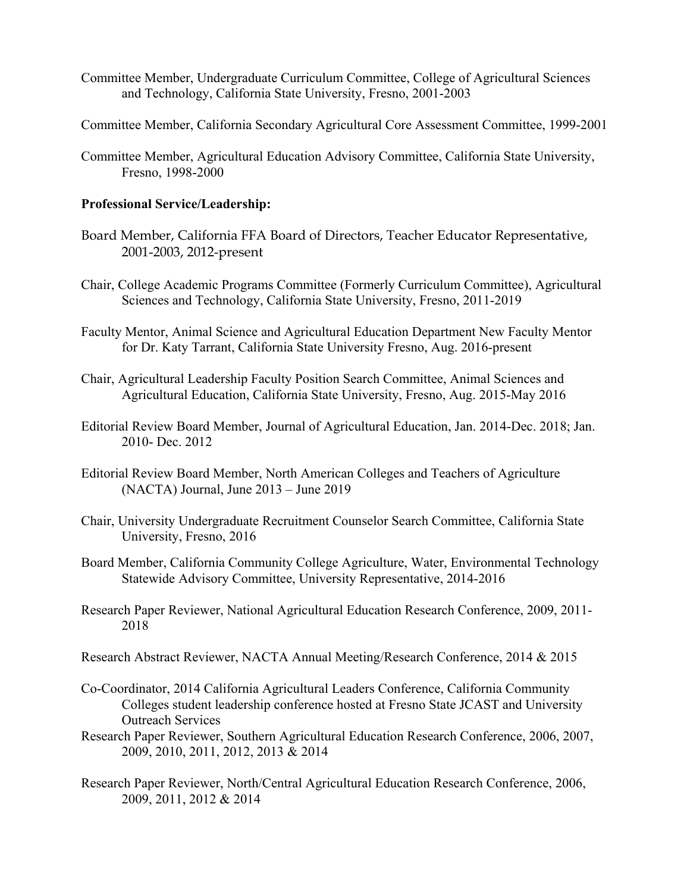- Committee Member, Undergraduate Curriculum Committee, College of Agricultural Sciences and Technology, California State University, Fresno, 2001-2003
- Committee Member, California Secondary Agricultural Core Assessment Committee, 1999-2001
- Committee Member, Agricultural Education Advisory Committee, California State University, Fresno, 1998-2000

#### **Professional Service/Leadership:**

- Board Member, California FFA Board of Directors, Teacher Educator Representative, 2001-2003, 2012-present
- Chair, College Academic Programs Committee (Formerly Curriculum Committee), Agricultural Sciences and Technology, California State University, Fresno, 2011-2019
- Faculty Mentor, Animal Science and Agricultural Education Department New Faculty Mentor for Dr. Katy Tarrant, California State University Fresno, Aug. 2016-present
- Chair, Agricultural Leadership Faculty Position Search Committee, Animal Sciences and Agricultural Education, California State University, Fresno, Aug. 2015-May 2016
- Editorial Review Board Member, Journal of Agricultural Education, Jan. 2014-Dec. 2018; Jan. 2010- Dec. 2012
- Editorial Review Board Member, North American Colleges and Teachers of Agriculture (NACTA) Journal, June 2013 – June 2019
- Chair, University Undergraduate Recruitment Counselor Search Committee, California State University, Fresno, 2016
- Board Member, California Community College Agriculture, Water, Environmental Technology Statewide Advisory Committee, University Representative, 2014-2016
- Research Paper Reviewer, National Agricultural Education Research Conference, 2009, 2011- 2018
- Research Abstract Reviewer, NACTA Annual Meeting/Research Conference, 2014 & 2015
- Co-Coordinator, 2014 California Agricultural Leaders Conference, California Community Colleges student leadership conference hosted at Fresno State JCAST and University Outreach Services
- Research Paper Reviewer, Southern Agricultural Education Research Conference, 2006, 2007, 2009, 2010, 2011, 2012, 2013 & 2014
- Research Paper Reviewer, North/Central Agricultural Education Research Conference, 2006, 2009, 2011, 2012 & 2014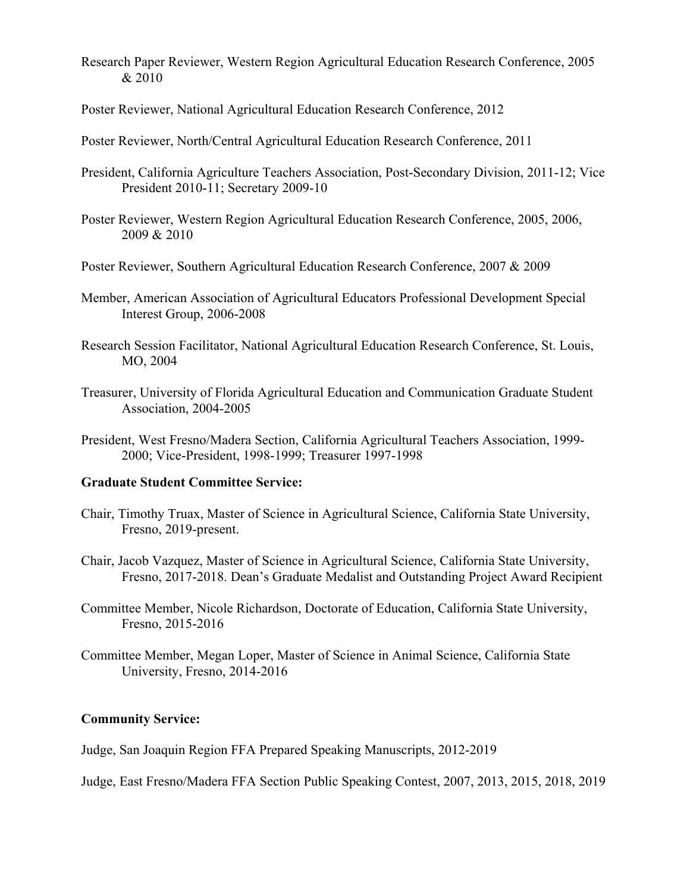- Research Paper Reviewer, Western Region Agricultural Education Research Conference, 2005 & 2010
- Poster Reviewer, National Agricultural Education Research Conference, 2012
- Poster Reviewer, North/Central Agricultural Education Research Conference, 2011
- President, California Agriculture Teachers Association, Post-Secondary Division, 2011-12; Vice President 2010-11; Secretary 2009-10
- Poster Reviewer, Western Region Agricultural Education Research Conference, 2005, 2006, 2009 & 2010
- Poster Reviewer, Southern Agricultural Education Research Conference, 2007 & 2009
- Member, American Association of Agricultural Educators Professional Development Special Interest Group, 2006-2008
- Research Session Facilitator, National Agricultural Education Research Conference, St. Louis, MO, 2004
- Treasurer, University of Florida Agricultural Education and Communication Graduate Student Association, 2004-2005
- President, West Fresno/Madera Section, California Agricultural Teachers Association, 1999- 2000; Vice-President, 1998-1999; Treasurer 1997-1998

#### **Graduate Student Committee Service:**

- Chair, Timothy Truax, Master of Science in Agricultural Science, California State University, Fresno, 2019-present.
- Chair, Jacob Vazquez, Master of Science in Agricultural Science, California State University, Fresno, 2017-2018. Dean's Graduate Medalist and Outstanding Project Award Recipient
- Committee Member, Nicole Richardson, Doctorate of Education, California State University, Fresno, 2015-2016
- Committee Member, Megan Loper, Master of Science in Animal Science, California State University, Fresno, 2014-2016

## **Community Service:**

Judge, San Joaquin Region FFA Prepared Speaking Manuscripts, 2012-2019

Judge, East Fresno/Madera FFA Section Public Speaking Contest, 2007, 2013, 2015, 2018, 2019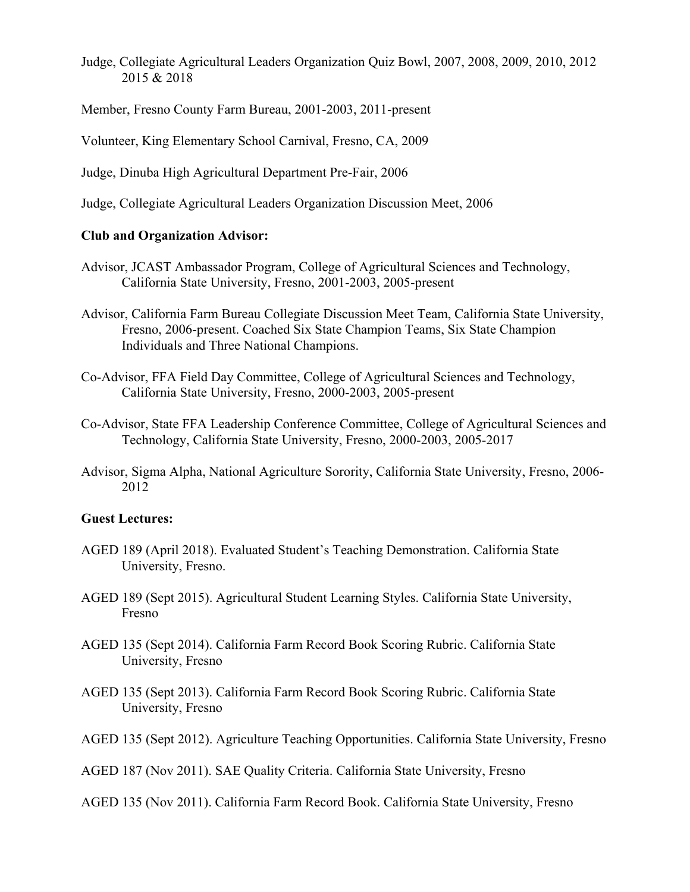- Judge, Collegiate Agricultural Leaders Organization Quiz Bowl, 2007, 2008, 2009, 2010, 2012 2015 & 2018
- Member, Fresno County Farm Bureau, 2001-2003, 2011-present
- Volunteer, King Elementary School Carnival, Fresno, CA, 2009
- Judge, Dinuba High Agricultural Department Pre-Fair, 2006
- Judge, Collegiate Agricultural Leaders Organization Discussion Meet, 2006

## **Club and Organization Advisor:**

- Advisor, JCAST Ambassador Program, College of Agricultural Sciences and Technology, California State University, Fresno, 2001-2003, 2005-present
- Advisor, California Farm Bureau Collegiate Discussion Meet Team, California State University, Fresno, 2006-present. Coached Six State Champion Teams, Six State Champion Individuals and Three National Champions.
- Co-Advisor, FFA Field Day Committee, College of Agricultural Sciences and Technology, California State University, Fresno, 2000-2003, 2005-present
- Co-Advisor, State FFA Leadership Conference Committee, College of Agricultural Sciences and Technology, California State University, Fresno, 2000-2003, 2005-2017
- Advisor, Sigma Alpha, National Agriculture Sorority, California State University, Fresno, 2006- 2012

#### **Guest Lectures:**

- AGED 189 (April 2018). Evaluated Student's Teaching Demonstration. California State University, Fresno.
- AGED 189 (Sept 2015). Agricultural Student Learning Styles. California State University, Fresno
- AGED 135 (Sept 2014). California Farm Record Book Scoring Rubric. California State University, Fresno
- AGED 135 (Sept 2013). California Farm Record Book Scoring Rubric. California State University, Fresno
- AGED 135 (Sept 2012). Agriculture Teaching Opportunities. California State University, Fresno
- AGED 187 (Nov 2011). SAE Quality Criteria. California State University, Fresno
- AGED 135 (Nov 2011). California Farm Record Book. California State University, Fresno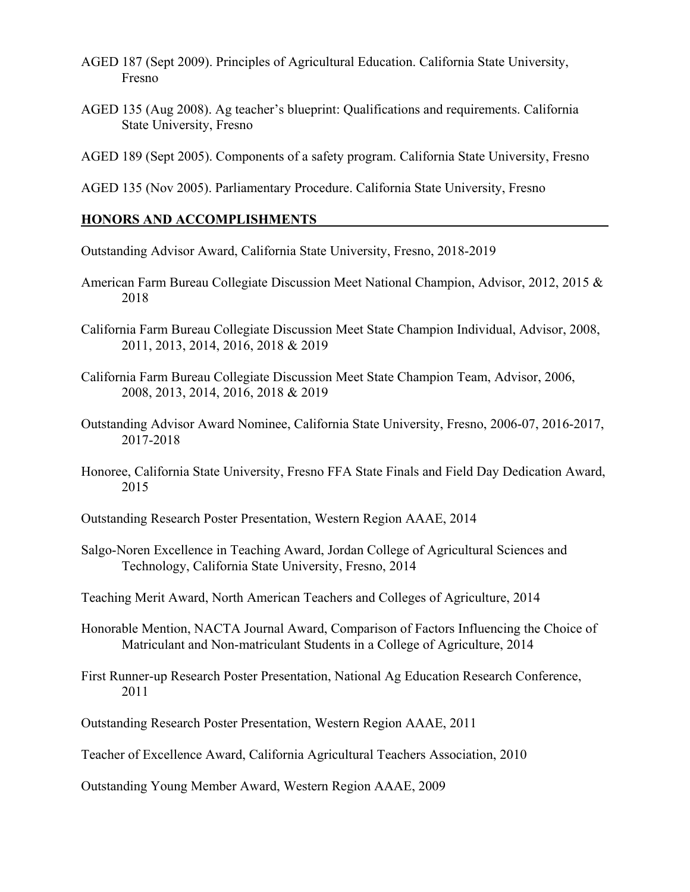- AGED 187 (Sept 2009). Principles of Agricultural Education. California State University, Fresno
- AGED 135 (Aug 2008). Ag teacher's blueprint: Qualifications and requirements. California State University, Fresno
- AGED 189 (Sept 2005). Components of a safety program. California State University, Fresno

AGED 135 (Nov 2005). Parliamentary Procedure. California State University, Fresno

#### **HONORS AND ACCOMPLISHMENTS**

Outstanding Advisor Award, California State University, Fresno, 2018-2019

- American Farm Bureau Collegiate Discussion Meet National Champion, Advisor, 2012, 2015 & 2018
- California Farm Bureau Collegiate Discussion Meet State Champion Individual, Advisor, 2008, 2011, 2013, 2014, 2016, 2018 & 2019
- California Farm Bureau Collegiate Discussion Meet State Champion Team, Advisor, 2006, 2008, 2013, 2014, 2016, 2018 & 2019
- Outstanding Advisor Award Nominee, California State University, Fresno, 2006-07, 2016-2017, 2017-2018
- Honoree, California State University, Fresno FFA State Finals and Field Day Dedication Award, 2015
- Outstanding Research Poster Presentation, Western Region AAAE, 2014
- Salgo-Noren Excellence in Teaching Award, Jordan College of Agricultural Sciences and Technology, California State University, Fresno, 2014
- Teaching Merit Award, North American Teachers and Colleges of Agriculture, 2014
- Honorable Mention, NACTA Journal Award, Comparison of Factors Influencing the Choice of Matriculant and Non-matriculant Students in a College of Agriculture, 2014
- First Runner-up Research Poster Presentation, National Ag Education Research Conference, 2011
- Outstanding Research Poster Presentation, Western Region AAAE, 2011
- Teacher of Excellence Award, California Agricultural Teachers Association, 2010

Outstanding Young Member Award, Western Region AAAE, 2009